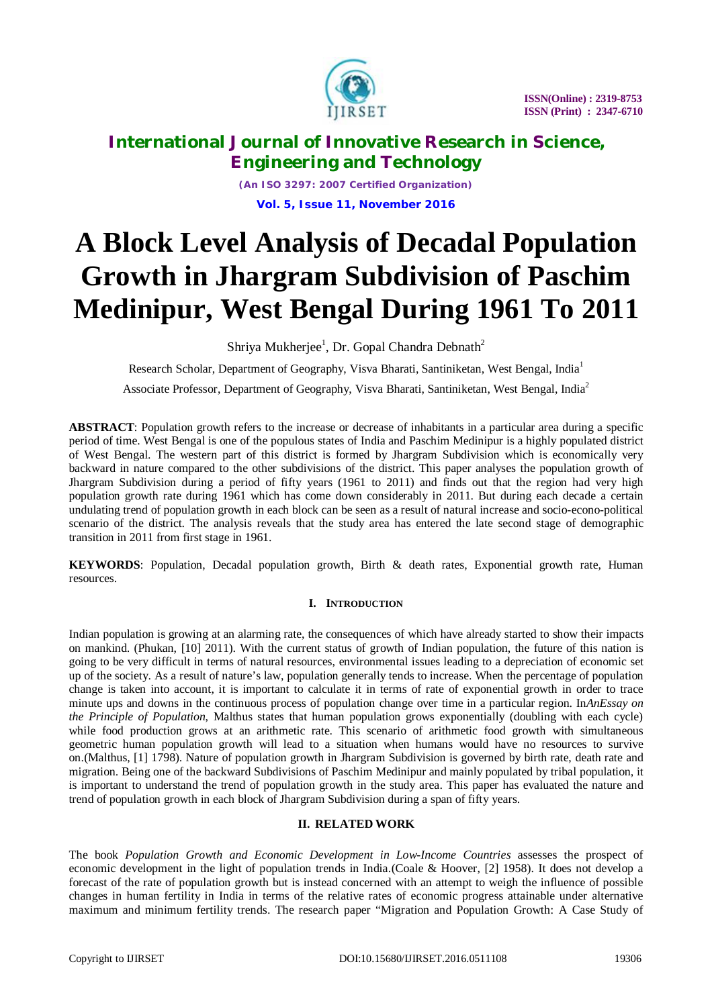

*(An ISO 3297: 2007 Certified Organization)* **Vol. 5, Issue 11, November 2016**

# **A Block Level Analysis of Decadal Population Growth in Jhargram Subdivision of Paschim Medinipur, West Bengal During 1961 To 2011**

Shriya Mukherjee<sup>1</sup>, Dr. Gopal Chandra Debnath<sup>2</sup>

Research Scholar, Department of Geography, Visva Bharati, Santiniketan, West Bengal, India<sup>1</sup>

Associate Professor, Department of Geography, Visva Bharati, Santiniketan, West Bengal, India<sup>2</sup>

**ABSTRACT**: Population growth refers to the increase or decrease of inhabitants in a particular area during a specific period of time. West Bengal is one of the populous states of India and Paschim Medinipur is a highly populated district of West Bengal. The western part of this district is formed by Jhargram Subdivision which is economically very backward in nature compared to the other subdivisions of the district. This paper analyses the population growth of Jhargram Subdivision during a period of fifty years (1961 to 2011) and finds out that the region had very high population growth rate during 1961 which has come down considerably in 2011. But during each decade a certain undulating trend of population growth in each block can be seen as a result of natural increase and socio-econo-political scenario of the district. The analysis reveals that the study area has entered the late second stage of demographic transition in 2011 from first stage in 1961.

**KEYWORDS**: Population, Decadal population growth, Birth & death rates, Exponential growth rate, Human resources.

### **I. INTRODUCTION**

Indian population is growing at an alarming rate, the consequences of which have already started to show their impacts on mankind. (Phukan, [10] 2011). With the current status of growth of Indian population, the future of this nation is going to be very difficult in terms of natural resources, environmental issues leading to a depreciation of economic set up of the society. As a result of nature's law, population generally tends to increase. When the percentage of population change is taken into account, it is important to calculate it in terms of rate of exponential growth in order to trace minute ups and downs in the continuous process of population change over time in a particular region. In*AnEssay on the Principle of Population*, Malthus states that human population grows exponentially (doubling with each cycle) while food production grows at an arithmetic rate. This scenario of arithmetic food growth with simultaneous geometric human population growth will lead to a situation when humans would have no resources to survive on.(Malthus, [1] 1798). Nature of population growth in Jhargram Subdivision is governed by birth rate, death rate and migration. Being one of the backward Subdivisions of Paschim Medinipur and mainly populated by tribal population, it is important to understand the trend of population growth in the study area. This paper has evaluated the nature and trend of population growth in each block of Jhargram Subdivision during a span of fifty years.

#### **II. RELATED WORK**

The book *Population Growth and Economic Development in Low-Income Countries* assesses the prospect of economic development in the light of population trends in India.(Coale & Hoover, [2] 1958). It does not develop a forecast of the rate of population growth but is instead concerned with an attempt to weigh the influence of possible changes in human fertility in India in terms of the relative rates of economic progress attainable under alternative maximum and minimum fertility trends. The research paper "Migration and Population Growth: A Case Study of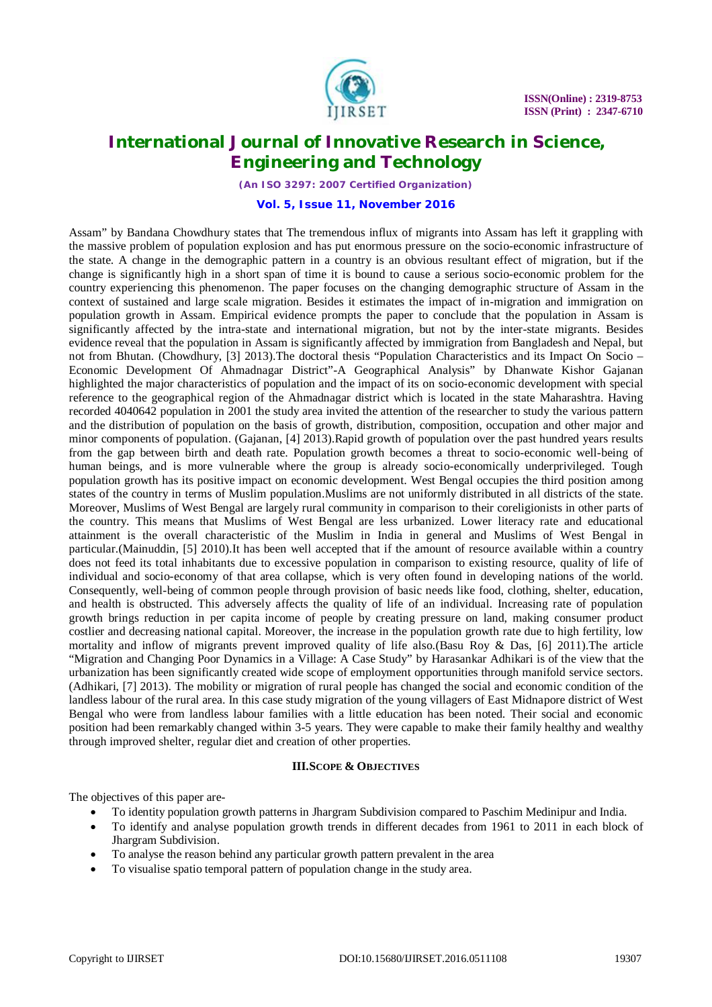

*(An ISO 3297: 2007 Certified Organization)*

**Vol. 5, Issue 11, November 2016**

Assam" by Bandana Chowdhury states that The tremendous influx of migrants into Assam has left it grappling with the massive problem of population explosion and has put enormous pressure on the socio-economic infrastructure of the state. A change in the demographic pattern in a country is an obvious resultant effect of migration, but if the change is significantly high in a short span of time it is bound to cause a serious socio-economic problem for the country experiencing this phenomenon. The paper focuses on the changing demographic structure of Assam in the context of sustained and large scale migration. Besides it estimates the impact of in-migration and immigration on population growth in Assam. Empirical evidence prompts the paper to conclude that the population in Assam is significantly affected by the intra-state and international migration, but not by the inter-state migrants. Besides evidence reveal that the population in Assam is significantly affected by immigration from Bangladesh and Nepal, but not from Bhutan. (Chowdhury, [3] 2013).The doctoral thesis "Population Characteristics and its Impact On Socio – Economic Development Of Ahmadnagar District"-A Geographical Analysis" by Dhanwate Kishor Gajanan highlighted the major characteristics of population and the impact of its on socio-economic development with special reference to the geographical region of the Ahmadnagar district which is located in the state Maharashtra. Having recorded 4040642 population in 2001 the study area invited the attention of the researcher to study the various pattern and the distribution of population on the basis of growth, distribution, composition, occupation and other major and minor components of population. (Gajanan, [4] 2013).Rapid growth of population over the past hundred years results from the gap between birth and death rate. Population growth becomes a threat to socio-economic well-being of human beings, and is more vulnerable where the group is already socio-economically underprivileged. Tough population growth has its positive impact on economic development. West Bengal occupies the third position among states of the country in terms of Muslim population.Muslims are not uniformly distributed in all districts of the state. Moreover, Muslims of West Bengal are largely rural community in comparison to their coreligionists in other parts of the country. This means that Muslims of West Bengal are less urbanized. Lower literacy rate and educational attainment is the overall characteristic of the Muslim in India in general and Muslims of West Bengal in particular.(Mainuddin, [5] 2010).It has been well accepted that if the amount of resource available within a country does not feed its total inhabitants due to excessive population in comparison to existing resource, quality of life of individual and socio-economy of that area collapse, which is very often found in developing nations of the world. Consequently, well-being of common people through provision of basic needs like food, clothing, shelter, education, and health is obstructed. This adversely affects the quality of life of an individual. Increasing rate of population growth brings reduction in per capita income of people by creating pressure on land, making consumer product costlier and decreasing national capital. Moreover, the increase in the population growth rate due to high fertility, low mortality and inflow of migrants prevent improved quality of life also.(Basu Roy & Das, [6] 2011).The article "Migration and Changing Poor Dynamics in a Village: A Case Study" by Harasankar Adhikari is of the view that the urbanization has been significantly created wide scope of employment opportunities through manifold service sectors. (Adhikari, [7] 2013). The mobility or migration of rural people has changed the social and economic condition of the landless labour of the rural area. In this case study migration of the young villagers of East Midnapore district of West Bengal who were from landless labour families with a little education has been noted. Their social and economic position had been remarkably changed within 3-5 years. They were capable to make their family healthy and wealthy through improved shelter, regular diet and creation of other properties.

#### **III.SCOPE & OBJECTIVES**

The objectives of this paper are-

- To identity population growth patterns in Jhargram Subdivision compared to Paschim Medinipur and India.
- To identify and analyse population growth trends in different decades from 1961 to 2011 in each block of Jhargram Subdivision.
- To analyse the reason behind any particular growth pattern prevalent in the area
- To visualise spatio temporal pattern of population change in the study area.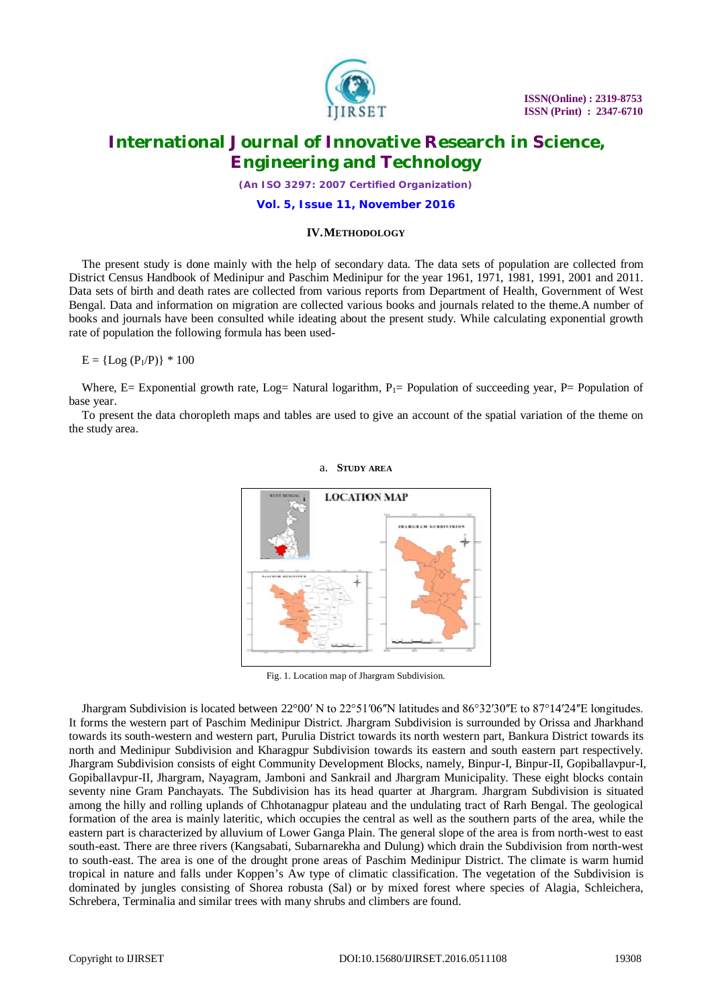

*(An ISO 3297: 2007 Certified Organization)*

**Vol. 5, Issue 11, November 2016**

#### **IV.METHODOLOGY**

The present study is done mainly with the help of secondary data. The data sets of population are collected from District Census Handbook of Medinipur and Paschim Medinipur for the year 1961, 1971, 1981, 1991, 2001 and 2011. Data sets of birth and death rates are collected from various reports from Department of Health, Government of West Bengal. Data and information on migration are collected various books and journals related to the theme.A number of books and journals have been consulted while ideating about the present study. While calculating exponential growth rate of population the following formula has been used-

 $E = \{Log (P_1/P)\} * 100$ 

Where, E= Exponential growth rate, Log= Natural logarithm,  $P_1$ = Population of succeeding year, P= Population of base year.

To present the data choropleth maps and tables are used to give an account of the spatial variation of the theme on the study area.



a. **STUDY AREA**

Fig. 1. Location map of Jhargram Subdivision.

Jhargram Subdivision is located between 22°00′ N to 22°51′06<sup>''</sup>N latitudes and 86°32′30<sup>''</sup>E to 87°14′24<sup>''</sup>E longitudes. It forms the western part of Paschim Medinipur District. Jhargram Subdivision is surrounded by Orissa and Jharkhand towards its south-western and western part, Purulia District towards its north western part, Bankura District towards its north and Medinipur Subdivision and Kharagpur Subdivision towards its eastern and south eastern part respectively. Jhargram Subdivision consists of eight Community Development Blocks, namely, Binpur-I, Binpur-II, Gopiballavpur-I, Gopiballavpur-II, Jhargram, Nayagram, Jamboni and Sankrail and Jhargram Municipality. These eight blocks contain seventy nine Gram Panchayats. The Subdivision has its head quarter at Jhargram. Jhargram Subdivision is situated among the hilly and rolling uplands of Chhotanagpur plateau and the undulating tract of Rarh Bengal. The geological formation of the area is mainly lateritic, which occupies the central as well as the southern parts of the area, while the eastern part is characterized by alluvium of Lower Ganga Plain. The general slope of the area is from north-west to east south-east. There are three rivers (Kangsabati, Subarnarekha and Dulung) which drain the Subdivision from north-west to south-east. The area is one of the drought prone areas of Paschim Medinipur District. The climate is warm humid tropical in nature and falls under Koppen's Aw type of climatic classification. The vegetation of the Subdivision is dominated by jungles consisting of Shorea robusta (Sal) or by mixed forest where species of Alagia, Schleichera, Schrebera, Terminalia and similar trees with many shrubs and climbers are found.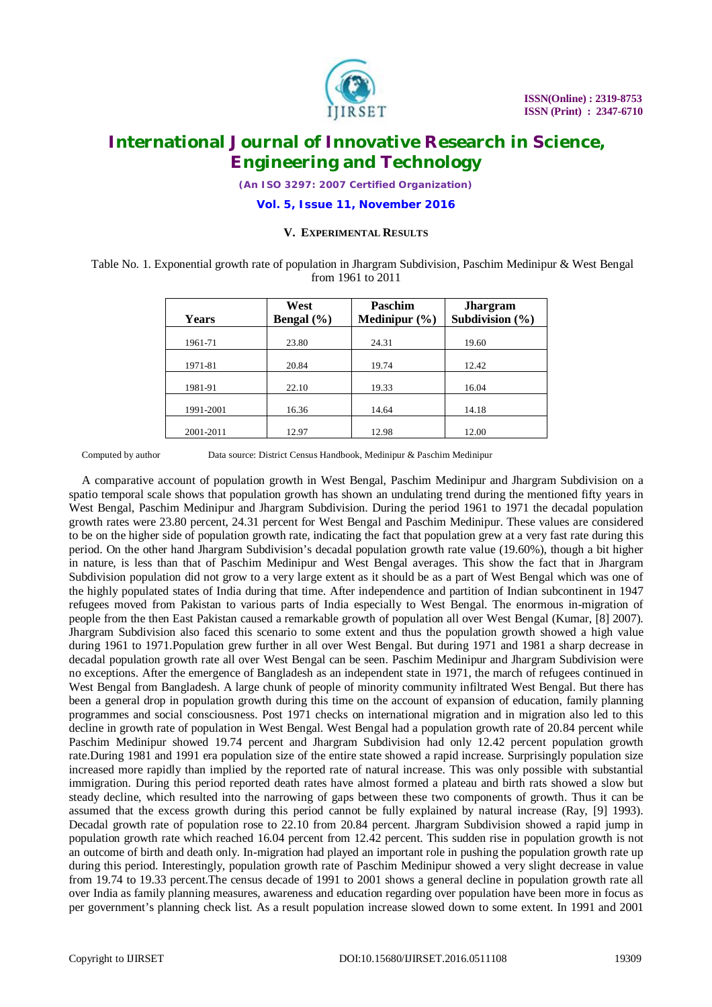

*(An ISO 3297: 2007 Certified Organization)*

**Vol. 5, Issue 11, November 2016**

#### **V. EXPERIMENTAL RESULTS**

Table No. 1. Exponential growth rate of population in Jhargram Subdivision, Paschim Medinipur & West Bengal from 1961 to 2011

| <b>Years</b> | West<br>Bengal $(\% )$ | <b>Paschim</b><br>Medinipur $(\% )$ | <b>Jhargram</b><br>Subdivision $(\% )$ |  |
|--------------|------------------------|-------------------------------------|----------------------------------------|--|
| 1961-71      | 23.80                  | 24.31                               | 19.60                                  |  |
| 1971-81      | 20.84                  | 19.74                               | 12.42                                  |  |
| 1981-91      | 22.10                  | 19.33                               | 16.04                                  |  |
| 1991-2001    | 16.36                  | 14.64                               | 14.18                                  |  |
| 2001-2011    | 12.97                  | 12.98                               | 12.00                                  |  |

Computed by author Data source: District Census Handbook, Medinipur & Paschim Medinipur

A comparative account of population growth in West Bengal, Paschim Medinipur and Jhargram Subdivision on a spatio temporal scale shows that population growth has shown an undulating trend during the mentioned fifty years in West Bengal, Paschim Medinipur and Jhargram Subdivision. During the period 1961 to 1971 the decadal population growth rates were 23.80 percent, 24.31 percent for West Bengal and Paschim Medinipur. These values are considered to be on the higher side of population growth rate, indicating the fact that population grew at a very fast rate during this period. On the other hand Jhargram Subdivision's decadal population growth rate value (19.60%), though a bit higher in nature, is less than that of Paschim Medinipur and West Bengal averages. This show the fact that in Jhargram Subdivision population did not grow to a very large extent as it should be as a part of West Bengal which was one of the highly populated states of India during that time. After independence and partition of Indian subcontinent in 1947 refugees moved from Pakistan to various parts of India especially to West Bengal. The enormous in-migration of people from the then East Pakistan caused a remarkable growth of population all over West Bengal (Kumar, [8] 2007). Jhargram Subdivision also faced this scenario to some extent and thus the population growth showed a high value during 1961 to 1971.Population grew further in all over West Bengal. But during 1971 and 1981 a sharp decrease in decadal population growth rate all over West Bengal can be seen. Paschim Medinipur and Jhargram Subdivision were no exceptions. After the emergence of Bangladesh as an independent state in 1971, the march of refugees continued in West Bengal from Bangladesh. A large chunk of people of minority community infiltrated West Bengal. But there has been a general drop in population growth during this time on the account of expansion of education, family planning programmes and social consciousness. Post 1971 checks on international migration and in migration also led to this decline in growth rate of population in West Bengal. West Bengal had a population growth rate of 20.84 percent while Paschim Medinipur showed 19.74 percent and Jhargram Subdivision had only 12.42 percent population growth rate.During 1981 and 1991 era population size of the entire state showed a rapid increase. Surprisingly population size increased more rapidly than implied by the reported rate of natural increase. This was only possible with substantial immigration. During this period reported death rates have almost formed a plateau and birth rats showed a slow but steady decline, which resulted into the narrowing of gaps between these two components of growth. Thus it can be assumed that the excess growth during this period cannot be fully explained by natural increase (Ray, [9] 1993). Decadal growth rate of population rose to 22.10 from 20.84 percent. Jhargram Subdivision showed a rapid jump in population growth rate which reached 16.04 percent from 12.42 percent. This sudden rise in population growth is not an outcome of birth and death only. In-migration had played an important role in pushing the population growth rate up during this period. Interestingly, population growth rate of Paschim Medinipur showed a very slight decrease in value from 19.74 to 19.33 percent.The census decade of 1991 to 2001 shows a general decline in population growth rate all over India as family planning measures, awareness and education regarding over population have been more in focus as per government's planning check list. As a result population increase slowed down to some extent. In 1991 and 2001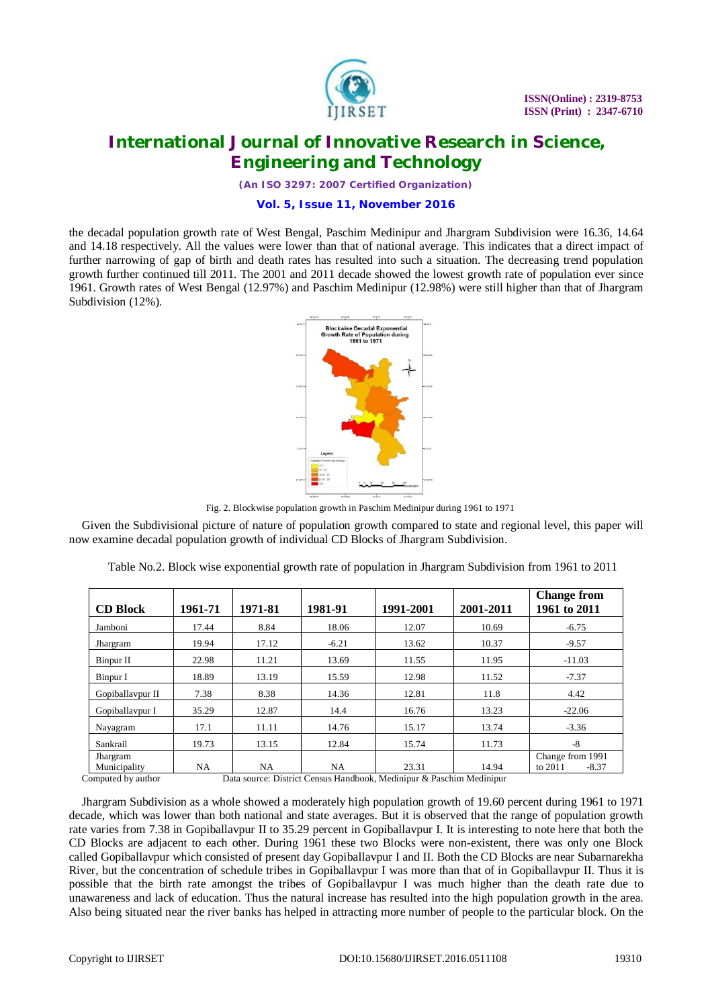

*(An ISO 3297: 2007 Certified Organization)*

#### **Vol. 5, Issue 11, November 2016**

the decadal population growth rate of West Bengal, Paschim Medinipur and Jhargram Subdivision were 16.36, 14.64 and 14.18 respectively. All the values were lower than that of national average. This indicates that a direct impact of further narrowing of gap of birth and death rates has resulted into such a situation. The decreasing trend population growth further continued till 2011. The 2001 and 2011 decade showed the lowest growth rate of population ever since 1961. Growth rates of West Bengal (12.97%) and Paschim Medinipur (12.98%) were still higher than that of Jhargram Subdivision (12%).



Fig. 2. Blockwise population growth in Paschim Medinipur during 1961 to 1971

Given the Subdivisional picture of nature of population growth compared to state and regional level, this paper will now examine decadal population growth of individual CD Blocks of Jhargram Subdivision.

|                          |         |           |         |           |           | <b>Change from</b>                     |
|--------------------------|---------|-----------|---------|-----------|-----------|----------------------------------------|
| <b>CD Block</b>          | 1961-71 | 1971-81   | 1981-91 | 1991-2001 | 2001-2011 | 1961 to 2011                           |
| Jamboni                  | 17.44   | 8.84      | 18.06   | 12.07     | 10.69     | $-6.75$                                |
| Jhargram                 | 19.94   | 17.12     | $-6.21$ | 13.62     | 10.37     | $-9.57$                                |
| Binpur II                | 22.98   | 11.21     | 13.69   | 11.55     | 11.95     | $-11.03$                               |
| Binpur I                 | 18.89   | 13.19     | 15.59   | 12.98     | 11.52     | $-7.37$                                |
| Gopiballavpur II         | 7.38    | 8.38      | 14.36   | 12.81     | 11.8      | 4.42                                   |
| Gopiballaypur I          | 35.29   | 12.87     | 14.4    | 16.76     | 13.23     | $-22.06$                               |
| Nayagram                 | 17.1    | 11.11     | 14.76   | 15.17     | 13.74     | $-3.36$                                |
| Sankrail                 | 19.73   | 13.15     | 12.84   | 15.74     | 11.73     | $-8$                                   |
| Jhargram<br>Municipality | NA      | <b>NA</b> | NA      | 23.31     | 14.94     | Change from 1991<br>to 2011<br>$-8.37$ |

Table No.2. Block wise exponential growth rate of population in Jhargram Subdivision from 1961 to 2011

Computed by author Data source: District Census Handbook, Medinipur & Paschim Medinipur

Jhargram Subdivision as a whole showed a moderately high population growth of 19.60 percent during 1961 to 1971 decade, which was lower than both national and state averages. But it is observed that the range of population growth rate varies from 7.38 in Gopiballavpur II to 35.29 percent in Gopiballavpur I. It is interesting to note here that both the CD Blocks are adjacent to each other. During 1961 these two Blocks were non-existent, there was only one Block called Gopiballavpur which consisted of present day Gopiballavpur I and II. Both the CD Blocks are near Subarnarekha River, but the concentration of schedule tribes in Gopiballavpur I was more than that of in Gopiballavpur II. Thus it is possible that the birth rate amongst the tribes of Gopiballavpur I was much higher than the death rate due to unawareness and lack of education. Thus the natural increase has resulted into the high population growth in the area. Also being situated near the river banks has helped in attracting more number of people to the particular block. On the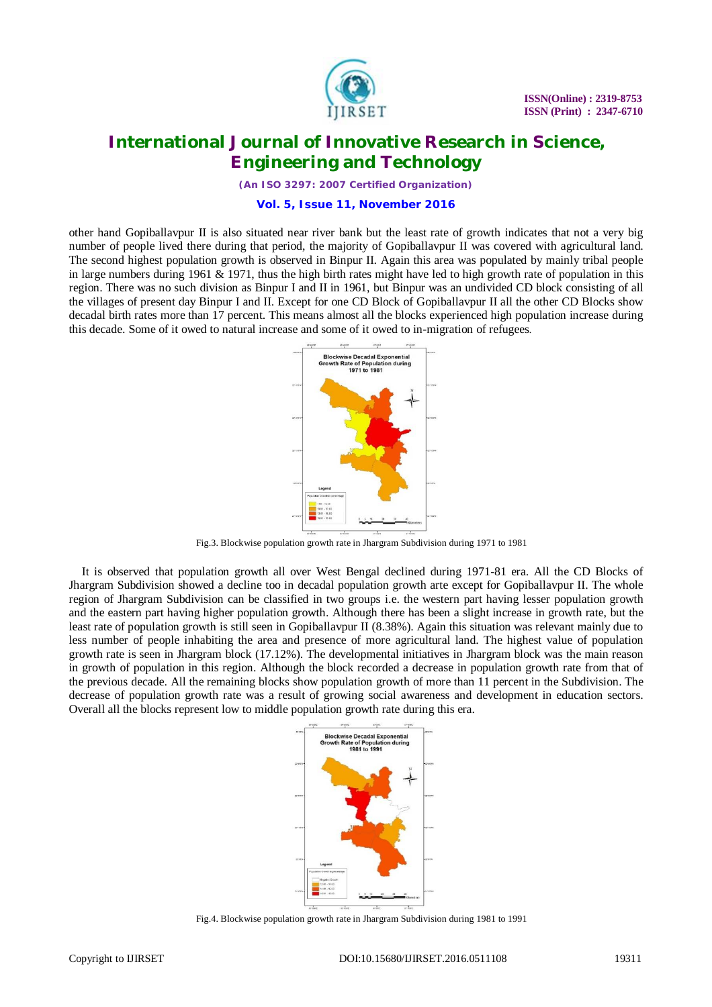

*(An ISO 3297: 2007 Certified Organization)*

#### **Vol. 5, Issue 11, November 2016**

other hand Gopiballavpur II is also situated near river bank but the least rate of growth indicates that not a very big number of people lived there during that period, the majority of Gopiballavpur II was covered with agricultural land. The second highest population growth is observed in Binpur II. Again this area was populated by mainly tribal people in large numbers during 1961  $\&$  1971, thus the high birth rates might have led to high growth rate of population in this region. There was no such division as Binpur I and II in 1961, but Binpur was an undivided CD block consisting of all the villages of present day Binpur I and II. Except for one CD Block of Gopiballavpur II all the other CD Blocks show decadal birth rates more than 17 percent. This means almost all the blocks experienced high population increase during this decade. Some of it owed to natural increase and some of it owed to in-migration of refugees.



Fig.3. Blockwise population growth rate in Jhargram Subdivision during 1971 to 1981

It is observed that population growth all over West Bengal declined during 1971-81 era. All the CD Blocks of Jhargram Subdivision showed a decline too in decadal population growth arte except for Gopiballavpur II. The whole region of Jhargram Subdivision can be classified in two groups i.e. the western part having lesser population growth and the eastern part having higher population growth. Although there has been a slight increase in growth rate, but the least rate of population growth is still seen in Gopiballavpur II (8.38%). Again this situation was relevant mainly due to less number of people inhabiting the area and presence of more agricultural land. The highest value of population growth rate is seen in Jhargram block (17.12%). The developmental initiatives in Jhargram block was the main reason in growth of population in this region. Although the block recorded a decrease in population growth rate from that of the previous decade. All the remaining blocks show population growth of more than 11 percent in the Subdivision. The decrease of population growth rate was a result of growing social awareness and development in education sectors. Overall all the blocks represent low to middle population growth rate during this era.



Fig.4. Blockwise population growth rate in Jhargram Subdivision during 1981 to 1991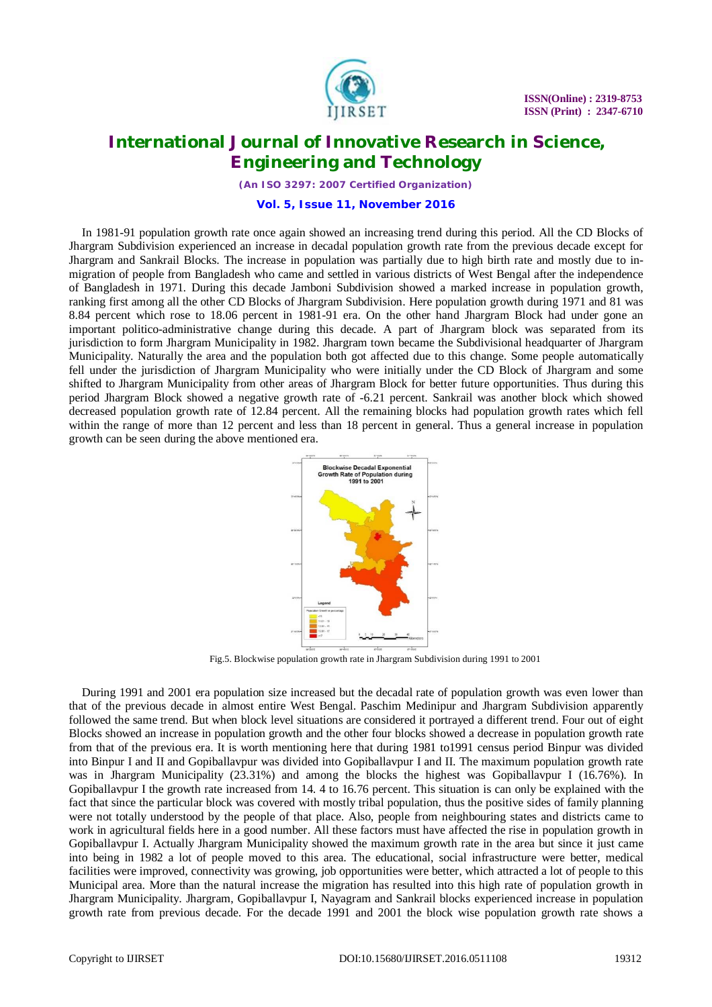

*(An ISO 3297: 2007 Certified Organization)*

**Vol. 5, Issue 11, November 2016**

In 1981-91 population growth rate once again showed an increasing trend during this period. All the CD Blocks of Jhargram Subdivision experienced an increase in decadal population growth rate from the previous decade except for Jhargram and Sankrail Blocks. The increase in population was partially due to high birth rate and mostly due to inmigration of people from Bangladesh who came and settled in various districts of West Bengal after the independence of Bangladesh in 1971. During this decade Jamboni Subdivision showed a marked increase in population growth, ranking first among all the other CD Blocks of Jhargram Subdivision. Here population growth during 1971 and 81 was 8.84 percent which rose to 18.06 percent in 1981-91 era. On the other hand Jhargram Block had under gone an important politico-administrative change during this decade. A part of Jhargram block was separated from its jurisdiction to form Jhargram Municipality in 1982. Jhargram town became the Subdivisional headquarter of Jhargram Municipality. Naturally the area and the population both got affected due to this change. Some people automatically fell under the jurisdiction of Jhargram Municipality who were initially under the CD Block of Jhargram and some shifted to Jhargram Municipality from other areas of Jhargram Block for better future opportunities. Thus during this period Jhargram Block showed a negative growth rate of -6.21 percent. Sankrail was another block which showed decreased population growth rate of 12.84 percent. All the remaining blocks had population growth rates which fell within the range of more than 12 percent and less than 18 percent in general. Thus a general increase in population growth can be seen during the above mentioned era.



Fig.5. Blockwise population growth rate in Jhargram Subdivision during 1991 to 2001

During 1991 and 2001 era population size increased but the decadal rate of population growth was even lower than that of the previous decade in almost entire West Bengal. Paschim Medinipur and Jhargram Subdivision apparently followed the same trend. But when block level situations are considered it portrayed a different trend. Four out of eight Blocks showed an increase in population growth and the other four blocks showed a decrease in population growth rate from that of the previous era. It is worth mentioning here that during 1981 to1991 census period Binpur was divided into Binpur I and II and Gopiballavpur was divided into Gopiballavpur I and II. The maximum population growth rate was in Jhargram Municipality (23.31%) and among the blocks the highest was Gopiballavpur I (16.76%). In Gopiballavpur I the growth rate increased from 14. 4 to 16.76 percent. This situation is can only be explained with the fact that since the particular block was covered with mostly tribal population, thus the positive sides of family planning were not totally understood by the people of that place. Also, people from neighbouring states and districts came to work in agricultural fields here in a good number. All these factors must have affected the rise in population growth in Gopiballavpur I. Actually Jhargram Municipality showed the maximum growth rate in the area but since it just came into being in 1982 a lot of people moved to this area. The educational, social infrastructure were better, medical facilities were improved, connectivity was growing, job opportunities were better, which attracted a lot of people to this Municipal area. More than the natural increase the migration has resulted into this high rate of population growth in Jhargram Municipality. Jhargram, Gopiballavpur I, Nayagram and Sankrail blocks experienced increase in population growth rate from previous decade. For the decade 1991 and 2001 the block wise population growth rate shows a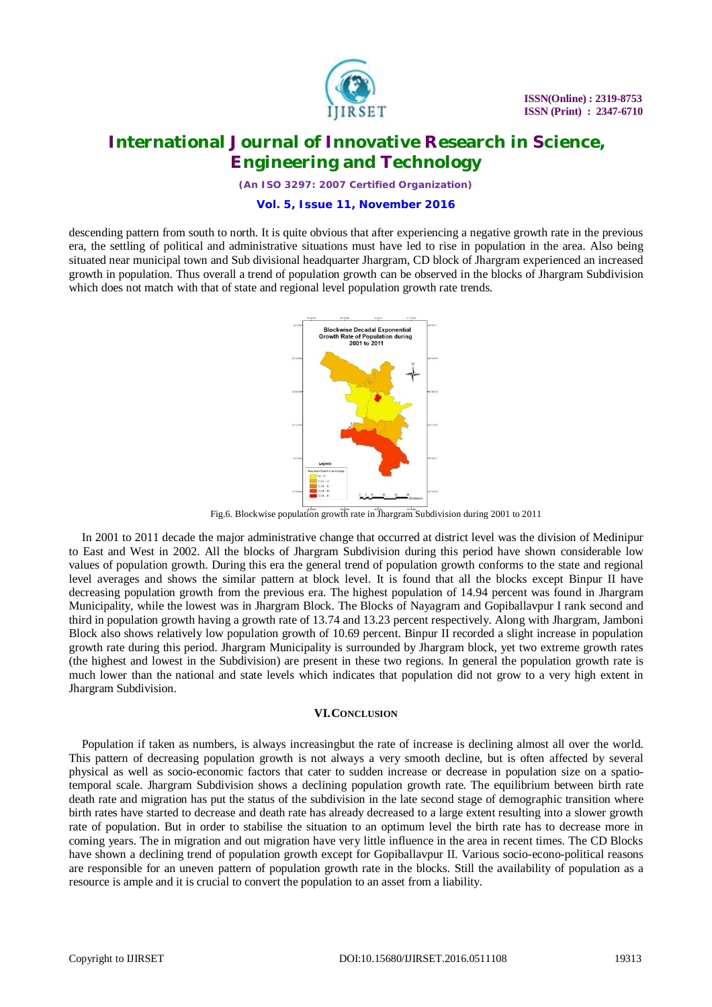

*(An ISO 3297: 2007 Certified Organization)*

#### **Vol. 5, Issue 11, November 2016**

descending pattern from south to north. It is quite obvious that after experiencing a negative growth rate in the previous era, the settling of political and administrative situations must have led to rise in population in the area. Also being situated near municipal town and Sub divisional headquarter Jhargram, CD block of Jhargram experienced an increased growth in population. Thus overall a trend of population growth can be observed in the blocks of Jhargram Subdivision which does not match with that of state and regional level population growth rate trends.



Fig.6. Blockwise population growth rate in Jhargram Subdivision during 2001 to 2011

In 2001 to 2011 decade the major administrative change that occurred at district level was the division of Medinipur to East and West in 2002. All the blocks of Jhargram Subdivision during this period have shown considerable low values of population growth. During this era the general trend of population growth conforms to the state and regional level averages and shows the similar pattern at block level. It is found that all the blocks except Binpur II have decreasing population growth from the previous era. The highest population of 14.94 percent was found in Jhargram Municipality, while the lowest was in Jhargram Block. The Blocks of Nayagram and Gopiballavpur I rank second and third in population growth having a growth rate of 13.74 and 13.23 percent respectively. Along with Jhargram, Jamboni Block also shows relatively low population growth of 10.69 percent. Binpur II recorded a slight increase in population growth rate during this period. Jhargram Municipality is surrounded by Jhargram block, yet two extreme growth rates (the highest and lowest in the Subdivision) are present in these two regions. In general the population growth rate is much lower than the national and state levels which indicates that population did not grow to a very high extent in Jhargram Subdivision.

#### **VI.CONCLUSION**

Population if taken as numbers, is always increasingbut the rate of increase is declining almost all over the world. This pattern of decreasing population growth is not always a very smooth decline, but is often affected by several physical as well as socio-economic factors that cater to sudden increase or decrease in population size on a spatiotemporal scale. Jhargram Subdivision shows a declining population growth rate. The equilibrium between birth rate death rate and migration has put the status of the subdivision in the late second stage of demographic transition where birth rates have started to decrease and death rate has already decreased to a large extent resulting into a slower growth rate of population. But in order to stabilise the situation to an optimum level the birth rate has to decrease more in coming years. The in migration and out migration have very little influence in the area in recent times. The CD Blocks have shown a declining trend of population growth except for Gopiballavpur II. Various socio-econo-political reasons are responsible for an uneven pattern of population growth rate in the blocks. Still the availability of population as a resource is ample and it is crucial to convert the population to an asset from a liability.